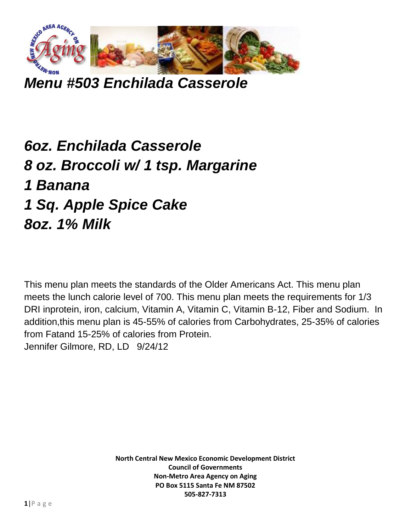

*Menu #503 Enchilada Casserole*

## *6oz. Enchilada Casserole 8 oz. Broccoli w/ 1 tsp. Margarine 1 Banana 1 Sq. Apple Spice Cake 8oz. 1% Milk*

This menu plan meets the standards of the Older Americans Act. This menu plan meets the lunch calorie level of 700. This menu plan meets the requirements for 1/3 DRI inprotein, iron, calcium, Vitamin A, Vitamin C, Vitamin B-12, Fiber and Sodium. In addition,this menu plan is 45-55% of calories from Carbohydrates, 25-35% of calories from Fatand 15-25% of calories from Protein. Jennifer Gilmore, RD, LD 9/24/12

> **North Central New Mexico Economic Development District Council of Governments Non-Metro Area Agency on Aging PO Box 5115 Santa Fe NM 87502 505-827-7313**